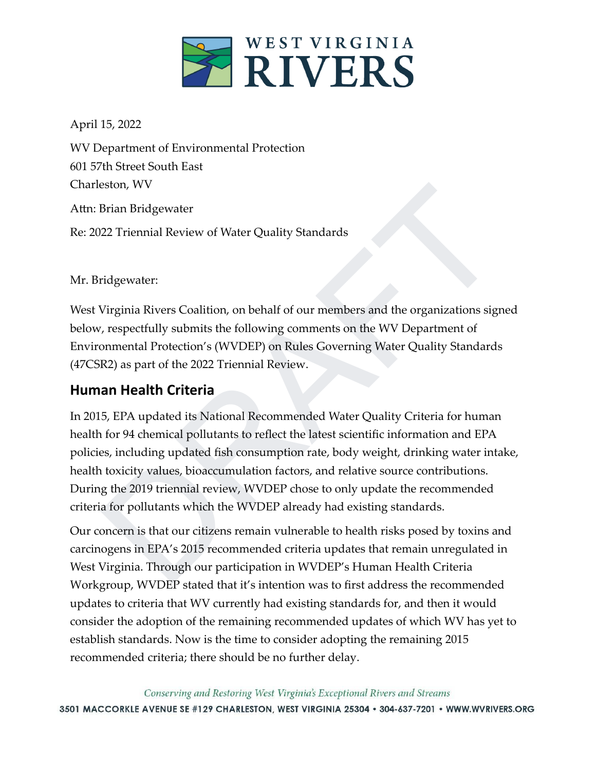

April 15, 2022

WV Department of Environmental Protection 601 57th Street South East Charleston, WV Attn: Brian Bridgewater Re: 2022 Triennial Review of Water Quality Standards

Mr. Bridgewater:

West Virginia Rivers Coalition, on behalf of our members and the organizations signed below, respectfully submits the following comments on the WV Department of Environmental Protection's (WVDEP) on Rules Governing Water Quality Standards (47CSR2) as part of the 2022 Triennial Review.

## **Human Health Criteria**

Brian Bridgewater<br>
222 Trienmial Review of Water Quality Standards<br>
222 Trienmial Review of Water Quality Standards<br>
1222 Trienmial Review of Water Quality Standards<br>
1222 Trienmial Protection's (WVDEP) on Rules Governing In 2015, EPA updated its National Recommended Water Quality Criteria for human health for 94 chemical pollutants to reflect the latest scientific information and EPA policies, including updated fish consumption rate, body weight, drinking water intake, health toxicity values, bioaccumulation factors, and relative source contributions. During the 2019 triennial review, WVDEP chose to only update the recommended criteria for pollutants which the WVDEP already had existing standards.

Our concern is that our citizens remain vulnerable to health risks posed by toxins and carcinogens in EPA's 2015 recommended criteria updates that remain unregulated in West Virginia. Through our participation in WVDEP's Human Health Criteria Workgroup, WVDEP stated that it's intention was to first address the recommended updates to criteria that WV currently had existing standards for, and then it would consider the adoption of the remaining recommended updates of which WV has yet to establish standards. Now is the time to consider adopting the remaining 2015 recommended criteria; there should be no further delay.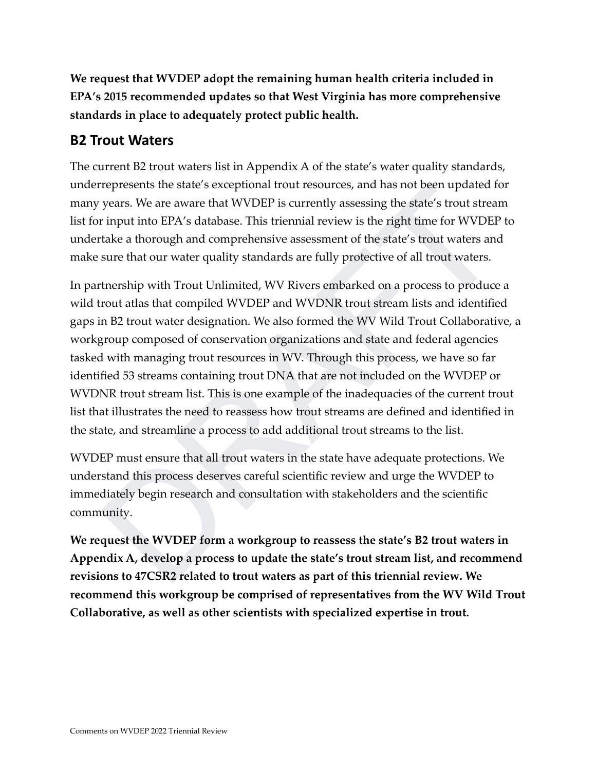**We request that WVDEP adopt the remaining human health criteria included in EPA's 2015 recommended updates so that West Virginia has more comprehensive standards in place to adequately protect public health.**

## **B2 Trout Waters**

The current B2 trout waters list in Appendix A of the state's water quality standards, underrepresents the state's exceptional trout resources, and has not been updated for many years. We are aware that WVDEP is currently assessing the state's trout stream list for input into EPA's database. This triennial review is the right time for WVDEP to undertake a thorough and comprehensive assessment of the state's trout waters and make sure that our water quality standards are fully protective of all trout waters.

represents the state's exceptional trout resources, and has not been updated for<br>years. We are aware that WVDEP is currently assessing the state's trout stream<br>r input into EPA's database. This triennial review is the righ In partnership with Trout Unlimited, WV Rivers embarked on a process to produce a wild trout atlas that compiled WVDEP and WVDNR trout stream lists and identified gaps in B2 trout water designation. We also formed the WV Wild Trout Collaborative, a workgroup composed of conservation organizations and state and federal agencies tasked with managing trout resources in WV. Through this process, we have so far identified 53 streams containing trout DNA that are not included on the WVDEP or WVDNR trout stream list. This is one example of the inadequacies of the current trout list that illustrates the need to reassess how trout streams are defined and identified in the state, and streamline a process to add additional trout streams to the list.

WVDEP must ensure that all trout waters in the state have adequate protections. We understand this process deserves careful scientific review and urge the WVDEP to immediately begin research and consultation with stakeholders and the scientific community.

**We request the WVDEP form a workgroup to reassess the state's B2 trout waters in Appendix A, develop a process to update the state's trout stream list, and recommend revisions to 47CSR2 related to trout waters as part of this triennial review. We recommend this workgroup be comprised of representatives from the WV Wild Trout Collaborative, as well as other scientists with specialized expertise in trout.**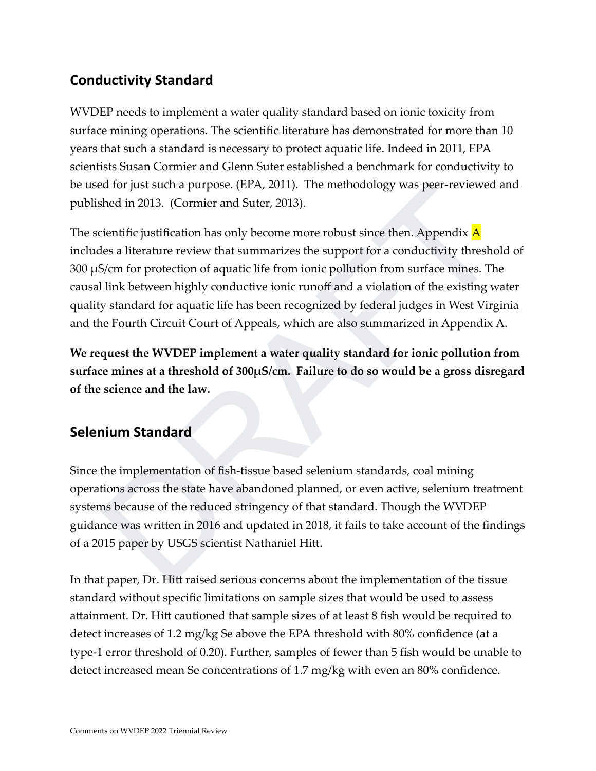## **Conductivity Standard**

WVDEP needs to implement a water quality standard based on ionic toxicity from surface mining operations. The scientific literature has demonstrated for more than 10 years that such a standard is necessary to protect aquatic life. Indeed in 2011, EPA scientists Susan Cormier and Glenn Suter established a benchmark for conductivity to be used for just such a purpose. (EPA, 2011). The methodology was peer-reviewed and published in 2013. (Cormier and Suter, 2013).

ed lor just such a purpose. (EPA, 2011). The methodology was peer-reviewed and<br>shed in 2013. (Cormier and Suter, 2013).<br>cientific justification has only become more robust since then. Appendix  $\Lambda$ <br>des a literature review The scientific justification has only become more robust since then. Appendix  $\overline{A}$ includes a literature review that summarizes the support for a conductivity threshold of 300 µS/cm for protection of aquatic life from ionic pollution from surface mines. The causal link between highly conductive ionic runoff and a violation of the existing water quality standard for aquatic life has been recognized by federal judges in West Virginia and the Fourth Circuit Court of Appeals, which are also summarized in Appendix A.

**We request the WVDEP implement a water quality standard for ionic pollution from surface mines at a threshold of 300µS/cm. Failure to do so would be a gross disregard of the science and the law.**

## **Selenium Standard**

Since the implementation of fish-tissue based selenium standards, coal mining operations across the state have abandoned planned, or even active, selenium treatment systems because of the reduced stringency of that standard. Though the WVDEP guidance was written in 2016 and updated in 2018, it fails to take account of the findings of a 2015 paper by USGS scientist Nathaniel Hitt.

In that paper, Dr. Hitt raised serious concerns about the implementation of the tissue standard without specific limitations on sample sizes that would be used to assess attainment. Dr. Hitt cautioned that sample sizes of at least 8 fish would be required to detect increases of 1.2 mg/kg Se above the EPA threshold with 80% confidence (at a type-1 error threshold of 0.20). Further, samples of fewer than 5 fish would be unable to detect increased mean Se concentrations of 1.7 mg/kg with even an 80% confidence.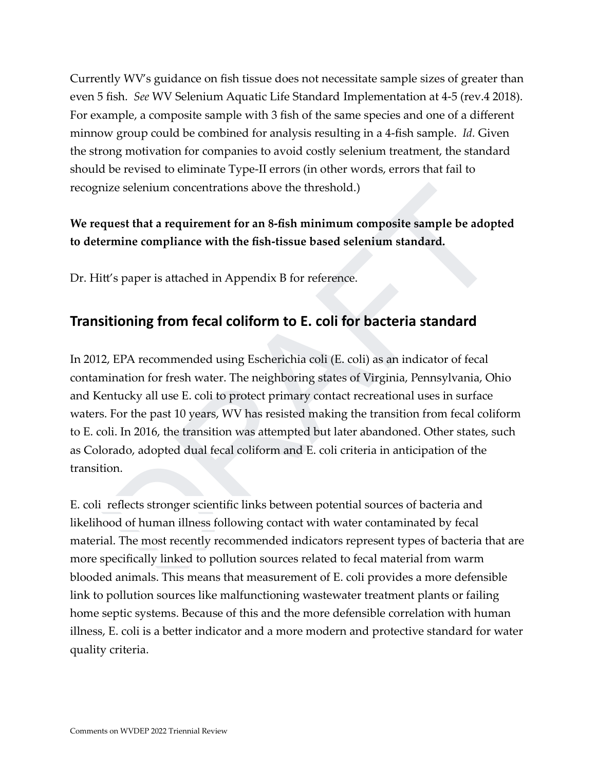Currently WV's guidance on fish tissue does not necessitate sample sizes of greater than even 5 fish. *See* WV Selenium Aquatic Life Standard Implementation at 4-5 (rev.4 2018). For example, a composite sample with 3 fish of the same species and one of a different minnow group could be combined for analysis resulting in a 4-fish sample. *Id.* Given the strong motivation for companies to avoid costly selenium treatment, the standard should be revised to eliminate Type-II errors (in other words, errors that fail to recognize selenium concentrations above the threshold.)

## **We request that a requirement for an 8-fish minimum composite sample be adopted to determine compliance with the fish-tissue based selenium standard.**

Dr. Hitt's paper is attached in Appendix B for reference.

## **Transitioning from fecal coliform to E. coli for bacteria standard**

nize selenium concentrations above the threshold.)<br>
quest that a requirement for an 8-fish minimum composite sample be adopted<br>
ermine compliance with the fish-tissue based selenium standard.<br>
itt's paper is attached in Ap In 2012, EPA recommended using Escherichia coli (E. coli) as an indicator of fecal contamination for fresh water. The neighboring states of Virginia, Pennsylvania, Ohio and Kentucky all use E. coli to protect primary contact recreational uses in surface waters. For the past 10 years, WV has resisted making the transition from fecal coliform to E. coli. In 2016, the transition was attempted but later abandoned. Other states, such as Colorado, adopted dual fecal coliform and E. coli criteria in anticipation of the transition.

E. coli reflects stronger scientific links between potential sources of bacteria and likelihood of human illness following contact with water contaminated by fecal material. The most recently recommended indicators represent types of bacteria that are more specifically linked to pollution sources related to fecal material from warm blooded animals. This means that measurement of E. coli provides a more defensible link to pollution sources like malfunctioning wastewater treatment plants or failing home septic systems. Because of this and the more defensible correlation with human illness, E. coli is a better indicator and a more modern and protective standard for water quality criteria.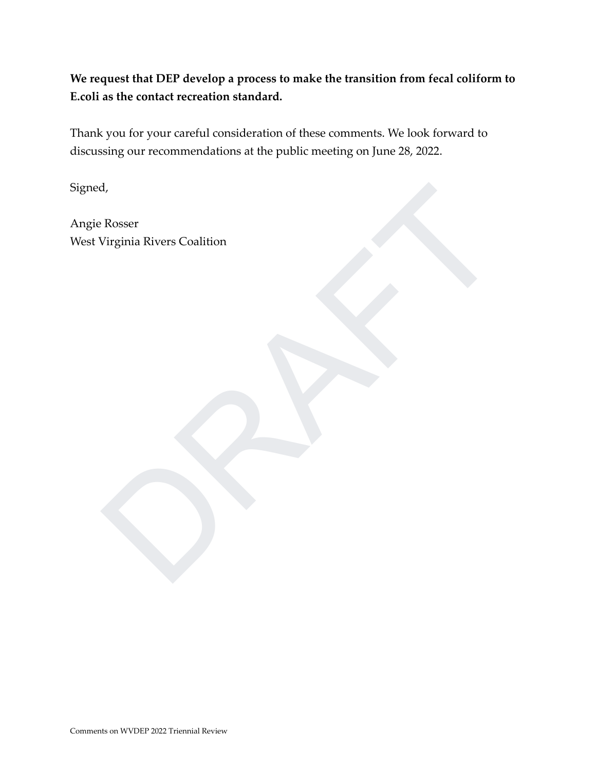**We request that DEP develop a process to make the transition from fecal coliform to E.coli as the contact recreation standard.**

Thank you for your careful consideration of these comments. We look forward to discussing our recommendations at the public meeting on June 28, 2022.

Signed,

Rosser<br>Virginia Rivers Coalition<br>Contained by the contact of the contact of the contact of the contact of the contact of the contact of the contact of the contact of the contact of the contact of the contact of the contact Angie Rosser West Virginia Rivers Coalition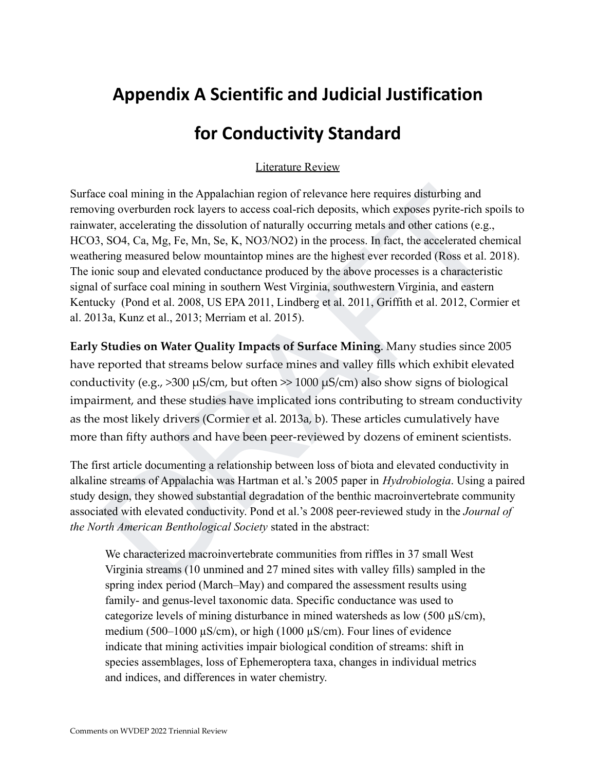# **Appendix A Scientific and Judicial Justification**

# **for Conductivity Standard**

### Literature Review

e coal mining in the Appalachian region of relevance here requires disturbing and<br>ing overburden rock layers to access coal-rich deposits, which exposes pyrite-rich spoils to<br>ter, accelerating the dissolution of naturally Surface coal mining in the Appalachian region of relevance here requires disturbing and removing overburden rock layers to access coal-rich deposits, which exposes pyrite-rich spoils to rainwater, accelerating the dissolution of naturally occurring metals and other cations (e.g., HCO3, SO4, Ca, Mg, Fe, Mn, Se, K, NO3/NO2) in the process. In fact, the accelerated chemical weathering measured below mountaintop mines are the highest ever recorded (Ross et al. 2018). The ionic soup and elevated conductance produced by the above processes is a characteristic signal of surface coal mining in southern West Virginia, southwestern Virginia, and eastern Kentucky (Pond et al. 2008, US EPA 2011, Lindberg et al. 2011, Griffith et al. 2012, Cormier et al. 2013a, Kunz et al., 2013; Merriam et al. 2015).

**Early Studies on Water Quality Impacts of Surface Mining**. Many studies since 2005 have reported that streams below surface mines and valley fills which exhibit elevated conductivity (e.g.,  $>300 \mu s/cm$ , but often  $> 1000 \mu s/cm$ ) also show signs of biological impairment, and these studies have implicated ions contributing to stream conductivity as the most likely drivers (Cormier et al. 2013a, b). These articles cumulatively have more than fifty authors and have been peer-reviewed by dozens of eminent scientists.

The first article documenting a relationship between loss of biota and elevated conductivity in alkaline streams of Appalachia was Hartman et al.'s 2005 paper in *Hydrobiologia*. Using a paired study design, they showed substantial degradation of the benthic macroinvertebrate community associated with elevated conductivity. Pond et al.'s 2008 peer-reviewed study in the *Journal of the North American Benthological Society* stated in the abstract:

We characterized macroinvertebrate communities from riffles in 37 small West Virginia streams (10 unmined and 27 mined sites with valley fills) sampled in the spring index period (March–May) and compared the assessment results using family- and genus-level taxonomic data. Specific conductance was used to categorize levels of mining disturbance in mined watersheds as low  $(500 \mu S/cm)$ , medium (500–1000  $\mu$ S/cm), or high (1000  $\mu$ S/cm). Four lines of evidence indicate that mining activities impair biological condition of streams: shift in species assemblages, loss of Ephemeroptera taxa, changes in individual metrics and indices, and differences in water chemistry.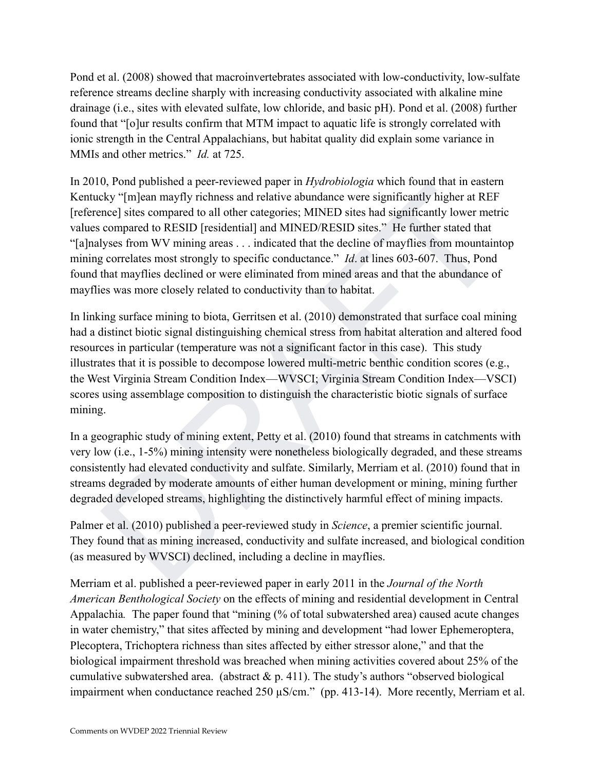Pond et al. (2008) showed that macroinvertebrates associated with low-conductivity, low-sulfate reference streams decline sharply with increasing conductivity associated with alkaline mine drainage (i.e., sites with elevated sulfate, low chloride, and basic pH). Pond et al. (2008) further found that "[o]ur results confirm that MTM impact to aquatic life is strongly correlated with ionic strength in the Central Appalachians, but habitat quality did explain some variance in MMIs and other metrics." *Id.* at 725.

o, rona puonsieura apeer-leveweed paper in *riyanobiologia* wunci nonina meassein<br>et ay "[m]can mayfly richness and relative abundance were significantly higher at REF<br>mee] sites compared to all other categories; MINFD si In 2010, Pond published a peer-reviewed paper in *Hydrobiologia* which found that in eastern Kentucky "[m]ean mayfly richness and relative abundance were significantly higher at REF [reference] sites compared to all other categories; MINED sites had significantly lower metric values compared to RESID [residential] and MINED/RESID sites." He further stated that "[a]nalyses from WV mining areas . . . indicated that the decline of mayflies from mountaintop mining correlates most strongly to specific conductance." *Id*. at lines 603-607. Thus, Pond found that mayflies declined or were eliminated from mined areas and that the abundance of mayflies was more closely related to conductivity than to habitat.

In linking surface mining to biota, Gerritsen et al. (2010) demonstrated that surface coal mining had a distinct biotic signal distinguishing chemical stress from habitat alteration and altered food resources in particular (temperature was not a significant factor in this case). This study illustrates that it is possible to decompose lowered multi-metric benthic condition scores (e.g., the West Virginia Stream Condition Index—WVSCI; Virginia Stream Condition Index—VSCI) scores using assemblage composition to distinguish the characteristic biotic signals of surface mining.

In a geographic study of mining extent, Petty et al. (2010) found that streams in catchments with very low (i.e., 1-5%) mining intensity were nonetheless biologically degraded, and these streams consistently had elevated conductivity and sulfate. Similarly, Merriam et al. (2010) found that in streams degraded by moderate amounts of either human development or mining, mining further degraded developed streams, highlighting the distinctively harmful effect of mining impacts.

Palmer et al. (2010) published a peer-reviewed study in *Science*, a premier scientific journal. They found that as mining increased, conductivity and sulfate increased, and biological condition (as measured by WVSCI) declined, including a decline in mayflies.

Merriam et al. published a peer-reviewed paper in early 2011 in the *Journal of the North American Benthological Society* on the effects of mining and residential development in Central Appalachia. The paper found that "mining (% of total subwatershed area) caused acute changes in water chemistry," that sites affected by mining and development "had lower Ephemeroptera, Plecoptera, Trichoptera richness than sites affected by either stressor alone," and that the biological impairment threshold was breached when mining activities covered about 25% of the cumulative subwatershed area. (abstract  $\&$  p. 411). The study's authors "observed biological impairment when conductance reached 250  $\mu$ S/cm." (pp. 413-14). More recently, Merriam et al.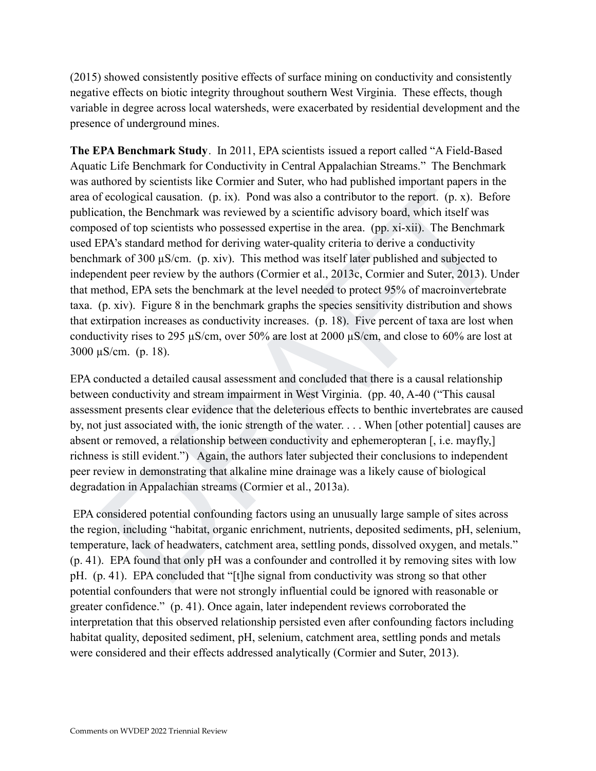(2015) showed consistently positive effects of surface mining on conductivity and consistently negative effects on biotic integrity throughout southern West Virginia. These effects, though variable in degree across local watersheds, were exacerbated by residential development and the presence of underground mines.

munera by solentias inte conner and sulter, who nati punishere important papers in the cological causation. (p. is). Pond was also a contributor to the report. (p. x). Before attion, the Renchmark was reviewed by a scienti **The EPA Benchmark Study**. In 2011, EPA scientists issued a report called "A Field-Based Aquatic Life Benchmark for Conductivity in Central Appalachian Streams." The Benchmark was authored by scientists like Cormier and Suter, who had published important papers in the area of ecological causation. (p. ix). Pond was also a contributor to the report. (p. x). Before publication, the Benchmark was reviewed by a scientific advisory board, which itself was composed of top scientists who possessed expertise in the area. (pp. xi-xii). The Benchmark used EPA's standard method for deriving water-quality criteria to derive a conductivity benchmark of 300  $\mu$ S/cm. (p. xiv). This method was itself later published and subjected to independent peer review by the authors (Cormier et al., 2013c, Cormier and Suter, 2013). Under that method, EPA sets the benchmark at the level needed to protect 95% of macroinvertebrate taxa. (p. xiv). Figure 8 in the benchmark graphs the species sensitivity distribution and shows that extirpation increases as conductivity increases. (p. 18). Five percent of taxa are lost when conductivity rises to 295 µS/cm, over 50% are lost at 2000 µS/cm, and close to 60% are lost at 3000  $\mu$ S/cm. (p. 18).

EPA conducted a detailed causal assessment and concluded that there is a causal relationship between conductivity and stream impairment in West Virginia. (pp. 40, A-40 ("This causal assessment presents clear evidence that the deleterious effects to benthic invertebrates are caused by, not just associated with, the ionic strength of the water. . . . When [other potential] causes are absent or removed, a relationship between conductivity and ephemeropteran [, i.e. mayfly,] richness is still evident.") Again, the authors later subjected their conclusions to independent peer review in demonstrating that alkaline mine drainage was a likely cause of biological degradation in Appalachian streams (Cormier et al., 2013a).

EPA considered potential confounding factors using an unusually large sample of sites across the region, including "habitat, organic enrichment, nutrients, deposited sediments, pH, selenium, temperature, lack of headwaters, catchment area, settling ponds, dissolved oxygen, and metals." (p. 41). EPA found that only pH was a confounder and controlled it by removing sites with low pH. (p. 41). EPA concluded that "[t]he signal from conductivity was strong so that other potential confounders that were not strongly influential could be ignored with reasonable or greater confidence." (p. 41). Once again, later independent reviews corroborated the interpretation that this observed relationship persisted even after confounding factors including habitat quality, deposited sediment, pH, selenium, catchment area, settling ponds and metals were considered and their effects addressed analytically (Cormier and Suter, 2013).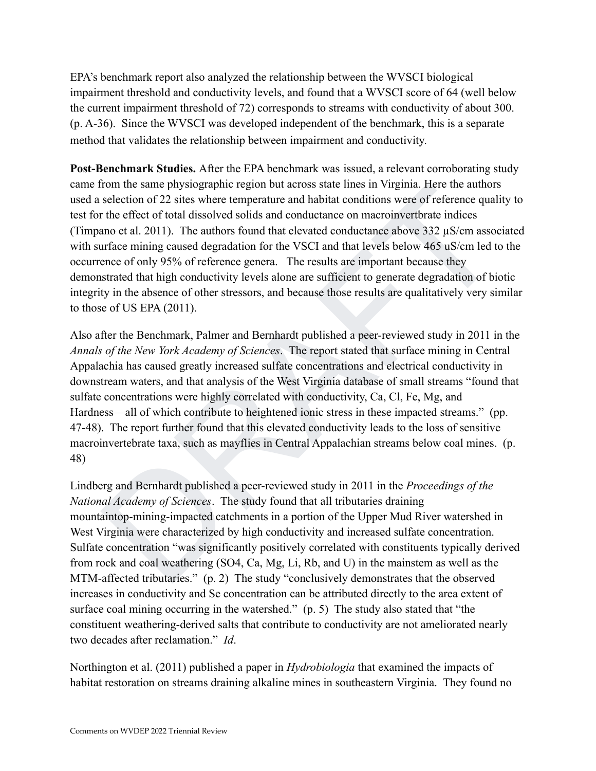EPA's benchmark report also analyzed the relationship between the WVSCI biological impairment threshold and conductivity levels, and found that a WVSCI score of 64 (well below the current impairment threshold of 72) corresponds to streams with conductivity of about 300. (p. A-36). Since the WVSCI was developed independent of the benchmark, this is a separate method that validates the relationship between impairment and conductivity.

**Post-Benchmark Studies.** After the EPA benchmark was issued, a relevant corroborating study came from the same physiographic region but across state lines in Virginia. Here the authors used a selection of 22 sites where temperature and habitat conditions were of reference quality to test for the effect of total dissolved solids and conductance on macroinvertbrate indices (Timpano et al. 2011). The authors found that elevated conductance above 332 µS/cm associated with surface mining caused degradation for the VSCI and that levels below 465 uS/cm led to the occurrence of only 95% of reference genera. The results are important because they demonstrated that high conductivity levels alone are sufficient to generate degradation of biotic integrity in the absence of other stressors, and because those results are qualitatively very similar to those of US EPA (2011).

from the same physiographic region but across state lines in Virgina. Here the authors<br>selection of 22 sites where temperature and habitat conditions were of reference quality to<br>the effect of total dissolved solids and c Also after the Benchmark, Palmer and Bernhardt published a peer-reviewed study in 2011 in the *Annals of the New York Academy of Sciences*. The report stated that surface mining in Central Appalachia has caused greatly increased sulfate concentrations and electrical conductivity in downstream waters, and that analysis of the West Virginia database of small streams "found that sulfate concentrations were highly correlated with conductivity, Ca, Cl, Fe, Mg, and Hardness—all of which contribute to heightened ionic stress in these impacted streams." (pp. 47-48). The report further found that this elevated conductivity leads to the loss of sensitive macroinvertebrate taxa, such as mayflies in Central Appalachian streams below coal mines. (p. 48)

Lindberg and Bernhardt published a peer-reviewed study in 2011 in the *Proceedings of the National Academy of Sciences*. The study found that all tributaries draining mountaintop-mining-impacted catchments in a portion of the Upper Mud River watershed in West Virginia were characterized by high conductivity and increased sulfate concentration. Sulfate concentration "was significantly positively correlated with constituents typically derived from rock and coal weathering (SO4, Ca, Mg, Li, Rb, and U) in the mainstem as well as the MTM-affected tributaries." (p. 2) The study "conclusively demonstrates that the observed increases in conductivity and Se concentration can be attributed directly to the area extent of surface coal mining occurring in the watershed." (p. 5) The study also stated that "the constituent weathering-derived salts that contribute to conductivity are not ameliorated nearly two decades after reclamation." *Id*.

Northington et al. (2011) published a paper in *Hydrobiologia* that examined the impacts of habitat restoration on streams draining alkaline mines in southeastern Virginia. They found no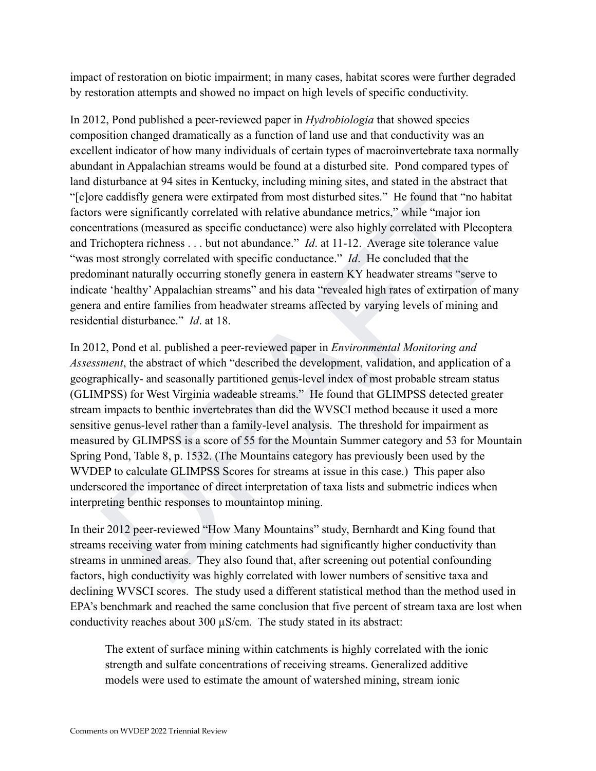impact of restoration on biotic impairment; in many cases, habitat scores were further degraded by restoration attempts and showed no impact on high levels of specific conductivity.

In 2012, Pond published a peer-reviewed paper in *Hydrobiologia* that showed species composition changed dramatically as a function of land use and that conductivity was an excellent indicator of how many individuals of certain types of macroinvertebrate taxa normally abundant in Appalachian streams would be found at a disturbed site. Pond compared types of land disturbance at 94 sites in Kentucky, including mining sites, and stated in the abstract that "[c]ore caddisfly genera were extirpated from most disturbed sites." He found that "no habitat factors were significantly correlated with relative abundance metrics," while "major ion concentrations (measured as specific conductance) were also highly correlated with Plecoptera and Trichoptera richness . . . but not abundance." *Id*. at 11-12. Average site tolerance value "was most strongly correlated with specific conductance." *Id*. He concluded that the predominant naturally occurring stonefly genera in eastern KY headwater streams "serve to indicate 'healthy'Appalachian streams" and his data "revealed high rates of extirpation of many genera and entire families from headwater streams affected by varying levels of mining and residential disturbance." *Id*. at 18.

is<br>unionic at  $\rightarrow$  sines in Remincky, inctualing inimig sines, and state in the absolate<br>that is verre significantly correlated from most disturbed sites." He found that "no habitat<br>verre significantly correlated with rel In 2012, Pond et al. published a peer-reviewed paper in *Environmental Monitoring and Assessment*, the abstract of which "described the development, validation, and application of a geographically- and seasonally partitioned genus-level index of most probable stream status (GLIMPSS) for West Virginia wadeable streams." He found that GLIMPSS detected greater stream impacts to benthic invertebrates than did the WVSCI method because it used a more sensitive genus-level rather than a family-level analysis. The threshold for impairment as measured by GLIMPSS is a score of 55 for the Mountain Summer category and 53 for Mountain Spring Pond, Table 8, p. 1532. (The Mountains category has previously been used by the WVDEP to calculate GLIMPSS Scores for streams at issue in this case.) This paper also underscored the importance of direct interpretation of taxa lists and submetric indices when interpreting benthic responses to mountaintop mining.

In their 2012 peer-reviewed "How Many Mountains" study, Bernhardt and King found that streams receiving water from mining catchments had significantly higher conductivity than streams in unmined areas. They also found that, after screening out potential confounding factors, high conductivity was highly correlated with lower numbers of sensitive taxa and declining WVSCI scores. The study used a different statistical method than the method used in EPA's benchmark and reached the same conclusion that five percent of stream taxa are lost when conductivity reaches about 300 µS/cm. The study stated in its abstract:

The extent of surface mining within catchments is highly correlated with the ionic strength and sulfate concentrations of receiving streams. Generalized additive models were used to estimate the amount of watershed mining, stream ionic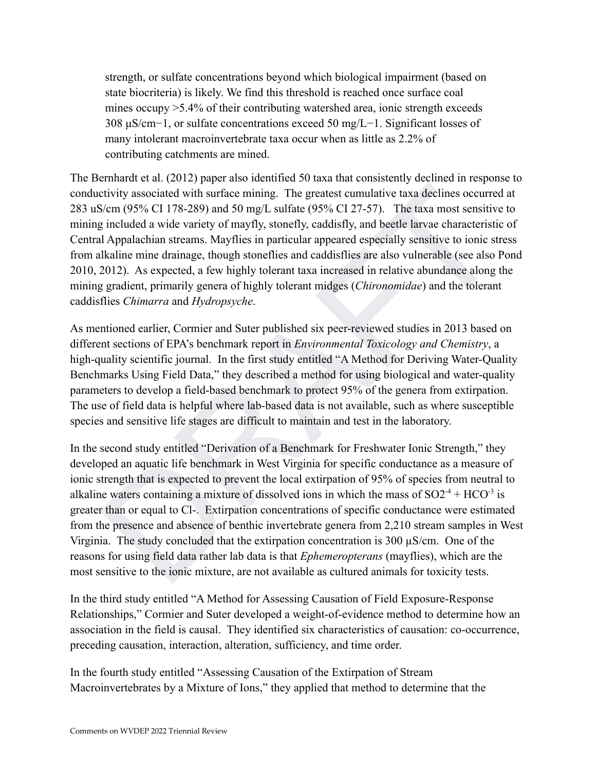strength, or sulfate concentrations beyond which biological impairment (based on state biocriteria) is likely. We find this threshold is reached once surface coal mines occupy >5.4% of their contributing watershed area, ionic strength exceeds 308 μS/cm−1, or sulfate concentrations exceed 50 mg/L−1. Significant losses of many intolerant macroinvertebrate taxa occur when as little as 2.2% of contributing catchments are mined.

The Bernhardt et al. (2012) paper also identified 50 taxa that consistently declined in response to conductivity associated with surface mining. The greatest cumulative taxa declines occurred at 283 uS/cm (95% CI 178-289) and 50 mg/L sulfate (95% CI 27-57). The taxa most sensitive to mining included a wide variety of mayfly, stonefly, caddisfly, and beetle larvae characteristic of Central Appalachian streams. Mayflies in particular appeared especially sensitive to ionic stress from alkaline mine drainage, though stoneflies and caddisflies are also vulnerable (see also Pond 2010, 2012). As expected, a few highly tolerant taxa increased in relative abundance along the mining gradient, primarily genera of highly tolerant midges (*Chironomidae*) and the tolerant caddisflies *Chimarra* and *Hydropsyche*.

As mentioned earlier, Cormier and Suter published six peer-reviewed studies in 2013 based on different sections of EPA's benchmark report in *Environmental Toxicology and Chemistry*, a high-quality scientific journal. In the first study entitled "A Method for Deriving Water-Quality Benchmarks Using Field Data," they described a method for using biological and water-quality parameters to develop a field-based benchmark to protect 95% of the genera from extirpation. The use of field data is helpful where lab-based data is not available, such as where susceptible species and sensitive life stages are difficult to maintain and test in the laboratory.

etivity associated with surface mining. The greatest cumulative taxa declines occurred at s/cm (95% CI 178-289) and 50 mg/L sulfate (95% CI 27-57). The taxa most sensitive to included a wide variety of mayfly, stone(f), ca In the second study entitled "Derivation of a Benchmark for Freshwater Ionic Strength," they developed an aquatic life benchmark in West Virginia for specific conductance as a measure of ionic strength that is expected to prevent the local extirpation of 95% of species from neutral to alkaline waters containing a mixture of dissolved ions in which the mass of  $SO2<sup>4</sup> + HCO<sup>-3</sup>$  is greater than or equal to Cl-. Extirpation concentrations of specific conductance were estimated from the presence and absence of benthic invertebrate genera from 2,210 stream samples in West Virginia. The study concluded that the extirpation concentration is 300  $\mu$ S/cm. One of the reasons for using field data rather lab data is that *Ephemeropterans* (mayflies), which are the most sensitive to the ionic mixture, are not available as cultured animals for toxicity tests.

In the third study entitled "A Method for Assessing Causation of Field Exposure-Response Relationships," Cormier and Suter developed a weight-of-evidence method to determine how an association in the field is causal. They identified six characteristics of causation: co-occurrence, preceding causation, interaction, alteration, sufficiency, and time order.

In the fourth study entitled "Assessing Causation of the Extirpation of Stream Macroinvertebrates by a Mixture of Ions," they applied that method to determine that the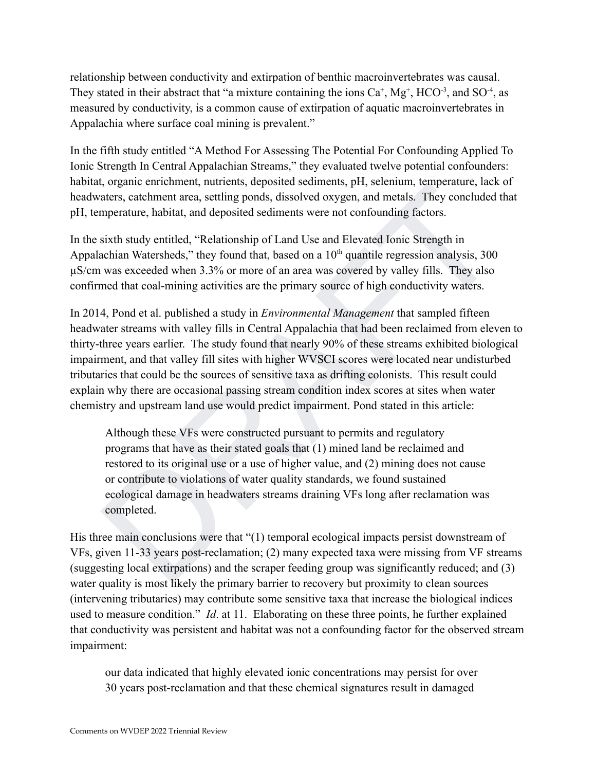relationship between conductivity and extirpation of benthic macroinvertebrates was causal. They stated in their abstract that "a mixture containing the ions  $Ca^+$ ,  $Mg^+$ , HCO<sup>-3</sup>, and SO<sup>-4</sup>, as measured by conductivity, is a common cause of extirpation of aquatic macroinvertebrates in Appalachia where surface coal mining is prevalent."

In the fifth study entitled "A Method For Assessing The Potential For Confounding Applied To Ionic Strength In Central Appalachian Streams," they evaluated twelve potential confounders: habitat, organic enrichment, nutrients, deposited sediments, pH, selenium, temperature, lack of headwaters, catchment area, settling ponds, dissolved oxygen, and metals. They concluded that pH, temperature, habitat, and deposited sediments were not confounding factors.

In the sixth study entitled, "Relationship of Land Use and Elevated Ionic Strength in Appalachian Watersheds," they found that, based on a  $10<sup>th</sup>$  quantile regression analysis, 300 µS/cm was exceeded when 3.3% or more of an area was covered by valley fills. They also confirmed that coal-mining activities are the primary source of high conductivity waters.

to again entriminit, inturents, deposited estentinals,  $\mu$ rt, selentimin, reinpetatione, actor, actehment area, settling ponds, disablved oxygen, and metals. They concluded that meperature, habitat, and deposited sedimen In 2014, Pond et al. published a study in *Environmental Management* that sampled fifteen headwater streams with valley fills in Central Appalachia that had been reclaimed from eleven to thirty-three years earlier. The study found that nearly 90% of these streams exhibited biological impairment, and that valley fill sites with higher WVSCI scores were located near undisturbed tributaries that could be the sources of sensitive taxa as drifting colonists. This result could explain why there are occasional passing stream condition index scores at sites when water chemistry and upstream land use would predict impairment. Pond stated in this article:

Although these VFs were constructed pursuant to permits and regulatory programs that have as their stated goals that (1) mined land be reclaimed and restored to its original use or a use of higher value, and (2) mining does not cause or contribute to violations of water quality standards, we found sustained ecological damage in headwaters streams draining VFs long after reclamation was completed.

His three main conclusions were that "(1) temporal ecological impacts persist downstream of VFs, given 11-33 years post-reclamation; (2) many expected taxa were missing from VF streams (suggesting local extirpations) and the scraper feeding group was significantly reduced; and (3) water quality is most likely the primary barrier to recovery but proximity to clean sources (intervening tributaries) may contribute some sensitive taxa that increase the biological indices used to measure condition." *Id*. at 11. Elaborating on these three points, he further explained that conductivity was persistent and habitat was not a confounding factor for the observed stream impairment:

our data indicated that highly elevated ionic concentrations may persist for over 30 years post-reclamation and that these chemical signatures result in damaged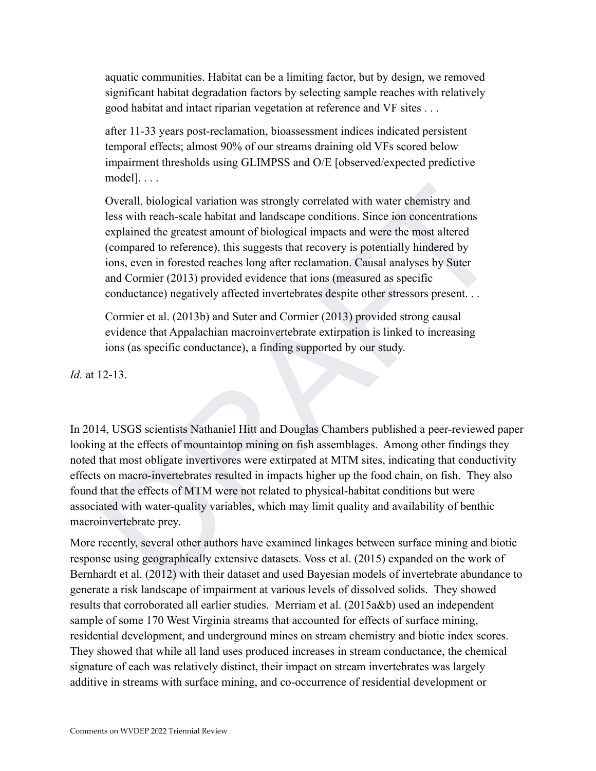aquatic communities. Habitat can be a limiting factor, but by design, we removed significant habitat degradation factors by selecting sample reaches with relatively good habitat and intact riparian vegetation at reference and VF sites . . .

after 11-33 years post-reclamation, bioassessment indices indicated persistent temporal effects; almost 90% of our streams draining old VFs scored below impairment thresholds using GLIMPSS and O/E [observed/expected predictive model]. . . .

Overall, biological variation was strongly correlated with water chemistry and less with reach-scale habitat and landscape conditions. Since ion concentrations explained the greatest amount of biological impacts and were the most altered (compared to reference), this suggests that recovery is potentially hindered by ions, even in forested reaches long after reclamation. Causal analyses by Suter and Cormier (2013) provided evidence that ions (measured as specific conductance) negatively affected invertebrates despite other stressors present. . .

Cormier et al. (2013b) and Suter and Cormier (2013) provided strong causal evidence that Appalachian macroinvertebrate extirpation is linked to increasing ions (as specific conductance), a finding supported by our study.

*Id.* at 12-13.

Overall, biological variation was strongly correlated with water chemistry and<br>lcss with reach-scale habitat and landscape conditions. Since ion concentrations<br>explained the greatest amount of biological impacts and were t In 2014, USGS scientists Nathaniel Hitt and Douglas Chambers published a peer-reviewed paper looking at the effects of mountaintop mining on fish assemblages. Among other findings they noted that most obligate invertivores were extirpated at MTM sites, indicating that conductivity effects on macro-invertebrates resulted in impacts higher up the food chain, on fish. They also found that the effects of MTM were not related to physical-habitat conditions but were associated with water-quality variables, which may limit quality and availability of benthic macroinvertebrate prey.

More recently, several other authors have examined linkages between surface mining and biotic response using geographically extensive datasets. Voss et al. (2015) expanded on the work of Bernhardt et al. (2012) with their dataset and used Bayesian models of invertebrate abundance to generate a risk landscape of impairment at various levels of dissolved solids. They showed results that corroborated all earlier studies. Merriam et al. (2015a&b) used an independent sample of some 170 West Virginia streams that accounted for effects of surface mining, residential development, and underground mines on stream chemistry and biotic index scores. They showed that while all land uses produced increases in stream conductance, the chemical signature of each was relatively distinct, their impact on stream invertebrates was largely additive in streams with surface mining, and co-occurrence of residential development or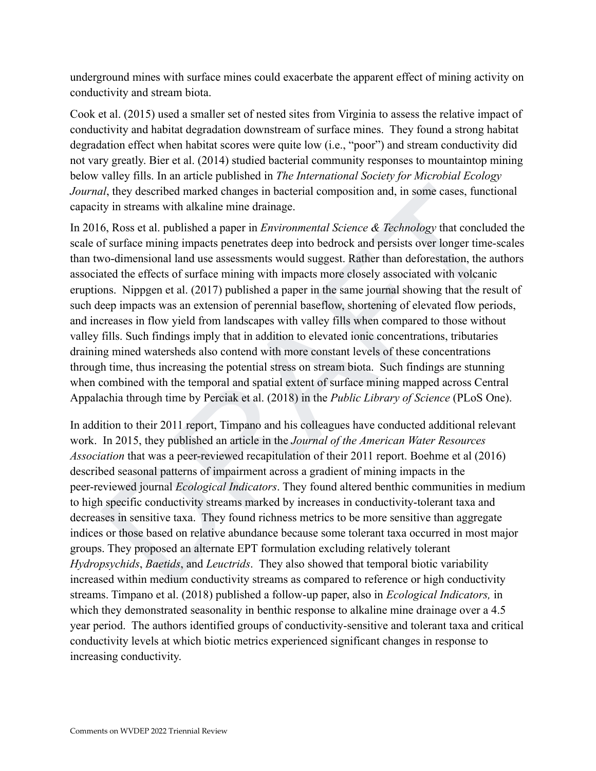underground mines with surface mines could exacerbate the apparent effect of mining activity on conductivity and stream biota.

Cook et al. (2015) used a smaller set of nested sites from Virginia to assess the relative impact of conductivity and habitat degradation downstream of surface mines. They found a strong habitat degradation effect when habitat scores were quite low (i.e., "poor") and stream conductivity did not vary greatly. Bier et al. (2014) studied bacterial community responses to mountaintop mining below valley fills. In an article published in *The International Society for Microbial Ecology Journal*, they described marked changes in bacterial composition and, in some cases, functional capacity in streams with alkaline mine drainage.

al, they described marked changes in bacterial composition and, in some cases, functional<br>y in streams with alkaline mine drainage.<br>6, Ross et al. published a paper in *Environmental Science & Technology* that concluded t In 2016, Ross et al. published a paper in *Environmental Science & Technology* that concluded the scale of surface mining impacts penetrates deep into bedrock and persists over longer time-scales than two-dimensional land use assessments would suggest. Rather than deforestation, the authors associated the effects of surface mining with impacts more closely associated with volcanic eruptions. Nippgen et al. (2017) published a paper in the same journal showing that the result of such deep impacts was an extension of perennial baseflow, shortening of elevated flow periods, and increases in flow yield from landscapes with valley fills when compared to those without valley fills. Such findings imply that in addition to elevated ionic concentrations, tributaries draining mined watersheds also contend with more constant levels of these concentrations through time, thus increasing the potential stress on stream biota. Such findings are stunning when combined with the temporal and spatial extent of surface mining mapped across Central Appalachia through time by Perciak et al. (2018) in the *Public Library of Science* (PLoS One).

In addition to their 2011 report, Timpano and his colleagues have conducted additional relevant work. In 2015, they published an article in the *Journal of the American Water Resources Association* that was a peer-reviewed recapitulation of their 2011 report. Boehme et al (2016) described seasonal patterns of impairment across a gradient of mining impacts in the peer-reviewed journal *Ecological Indicators*. They found altered benthic communities in medium to high specific conductivity streams marked by increases in conductivity-tolerant taxa and decreases in sensitive taxa. They found richness metrics to be more sensitive than aggregate indices or those based on relative abundance because some tolerant taxa occurred in most major groups. They proposed an alternate EPT formulation excluding relatively tolerant *Hydropsychids*, *Baetids*, and *Leuctrids*. They also showed that temporal biotic variability increased within medium conductivity streams as compared to reference or high conductivity streams. Timpano et al. (2018) published a follow-up paper, also in *Ecological Indicators,* in which they demonstrated seasonality in benthic response to alkaline mine drainage over a 4.5 year period. The authors identified groups of conductivity-sensitive and tolerant taxa and critical conductivity levels at which biotic metrics experienced significant changes in response to increasing conductivity.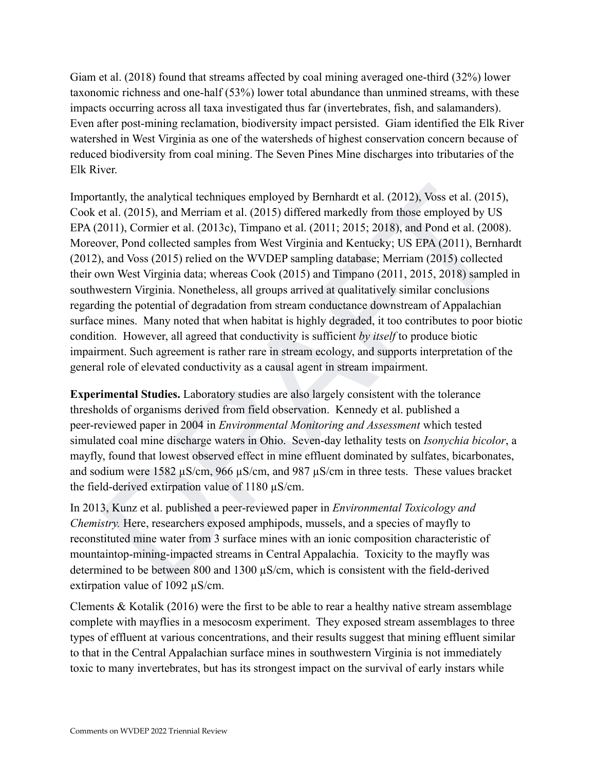Giam et al. (2018) found that streams affected by coal mining averaged one-third (32%) lower taxonomic richness and one-half (53%) lower total abundance than unmined streams, with these impacts occurring across all taxa investigated thus far (invertebrates, fish, and salamanders). Even after post-mining reclamation, biodiversity impact persisted. Giam identified the Elk River watershed in West Virginia as one of the watersheds of highest conservation concern because of reduced biodiversity from coal mining. The Seven Pines Mine discharges into tributaries of the Elk River.

tantly, the analytical techniques employed by Bernhardt et al. (2012), Voss et al. (2015), tart al. (2015), and Merriam et al. (2015) differed markedly from those employed by US (2011), Cornic et al. (2008). The parameted Importantly, the analytical techniques employed by Bernhardt et al. (2012), Voss et al. (2015), Cook et al. (2015), and Merriam et al. (2015) differed markedly from those employed by US EPA (2011), Cormier et al. (2013c), Timpano et al. (2011; 2015; 2018), and Pond et al. (2008). Moreover, Pond collected samples from West Virginia and Kentucky; US EPA (2011), Bernhardt (2012), and Voss (2015) relied on the WVDEP sampling database; Merriam (2015) collected their own West Virginia data; whereas Cook (2015) and Timpano (2011, 2015, 2018) sampled in southwestern Virginia. Nonetheless, all groups arrived at qualitatively similar conclusions regarding the potential of degradation from stream conductance downstream of Appalachian surface mines. Many noted that when habitat is highly degraded, it too contributes to poor biotic condition. However, all agreed that conductivity is sufficient *by itself* to produce biotic impairment. Such agreement is rather rare in stream ecology, and supports interpretation of the general role of elevated conductivity as a causal agent in stream impairment.

**Experimental Studies.** Laboratory studies are also largely consistent with the tolerance thresholds of organisms derived from field observation. Kennedy et al. published a peer-reviewed paper in 2004 in *Environmental Monitoring and Assessment* which tested simulated coal mine discharge waters in Ohio. Seven-day lethality tests on *Isonychia bicolor*, a mayfly, found that lowest observed effect in mine effluent dominated by sulfates, bicarbonates, and sodium were 1582 µS/cm, 966 µS/cm, and 987 µS/cm in three tests. These values bracket the field-derived extirpation value of 1180 µS/cm.

In 2013, Kunz et al. published a peer-reviewed paper in *Environmental Toxicology and Chemistry.* Here, researchers exposed amphipods, mussels, and a species of mayfly to reconstituted mine water from 3 surface mines with an ionic composition characteristic of mountaintop-mining-impacted streams in Central Appalachia. Toxicity to the mayfly was determined to be between 800 and 1300 µS/cm, which is consistent with the field-derived extirpation value of 1092 µS/cm.

Clements  $\&$  Kotalik (2016) were the first to be able to rear a healthy native stream assemblage complete with mayflies in a mesocosm experiment. They exposed stream assemblages to three types of effluent at various concentrations, and their results suggest that mining effluent similar to that in the Central Appalachian surface mines in southwestern Virginia is not immediately toxic to many invertebrates, but has its strongest impact on the survival of early instars while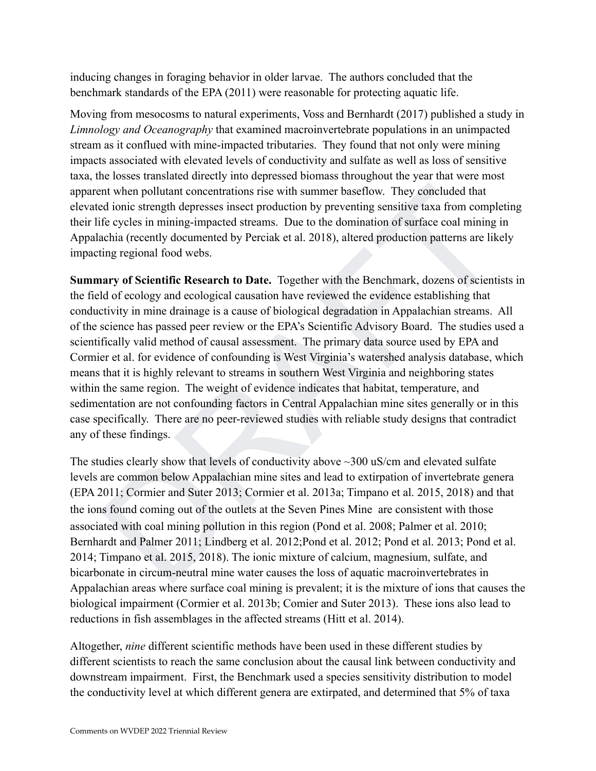inducing changes in foraging behavior in older larvae. The authors concluded that the benchmark standards of the EPA (2011) were reasonable for protecting aquatic life.

Moving from mesocosms to natural experiments, Voss and Bernhardt (2017) published a study in *Limnology and Oceanography* that examined macroinvertebrate populations in an unimpacted stream as it conflued with mine-impacted tributaries. They found that not only were mining impacts associated with elevated levels of conductivity and sulfate as well as loss of sensitive taxa, the losses translated directly into depressed biomass throughout the year that were most apparent when pollutant concentrations rise with summer baseflow. They concluded that elevated ionic strength depresses insect production by preventing sensitive taxa from completing their life cycles in mining-impacted streams. Due to the domination of surface coal mining in Appalachia (recently documented by Perciak et al. 2018), altered production patterns are likely impacting regional food webs.

ent when pollutant concentrations rise with summer base/low. They concluded that<br>divine term depresses insect production by preventing sensitive taxa from completing<br>divine fice cycles in mining-impatedd streams. Due to th **Summary of Scientific Research to Date.** Together with the Benchmark, dozens of scientists in the field of ecology and ecological causation have reviewed the evidence establishing that conductivity in mine drainage is a cause of biological degradation in Appalachian streams. All of the science has passed peer review or the EPA's Scientific Advisory Board. The studies used a scientifically valid method of causal assessment. The primary data source used by EPA and Cormier et al. for evidence of confounding is West Virginia's watershed analysis database, which means that it is highly relevant to streams in southern West Virginia and neighboring states within the same region. The weight of evidence indicates that habitat, temperature, and sedimentation are not confounding factors in Central Appalachian mine sites generally or in this case specifically. There are no peer-reviewed studies with reliable study designs that contradict any of these findings.

The studies clearly show that levels of conductivity above ~300 uS/cm and elevated sulfate levels are common below Appalachian mine sites and lead to extirpation of invertebrate genera (EPA 2011; Cormier and Suter 2013; Cormier et al. 2013a; Timpano et al. 2015, 2018) and that the ions found coming out of the outlets at the Seven Pines Mine are consistent with those associated with coal mining pollution in this region (Pond et al. 2008; Palmer et al. 2010; Bernhardt and Palmer 2011; Lindberg et al. 2012; Pond et al. 2012; Pond et al. 2013; Pond et al. 2014; Timpano et al. 2015, 2018). The ionic mixture of calcium, magnesium, sulfate, and bicarbonate in circum-neutral mine water causes the loss of aquatic macroinvertebrates in Appalachian areas where surface coal mining is prevalent; it is the mixture of ions that causes the biological impairment (Cormier et al. 2013b; Comier and Suter 2013). These ions also lead to reductions in fish assemblages in the affected streams (Hitt et al. 2014).

Altogether, *nine* different scientific methods have been used in these different studies by different scientists to reach the same conclusion about the causal link between conductivity and downstream impairment. First, the Benchmark used a species sensitivity distribution to model the conductivity level at which different genera are extirpated, and determined that 5% of taxa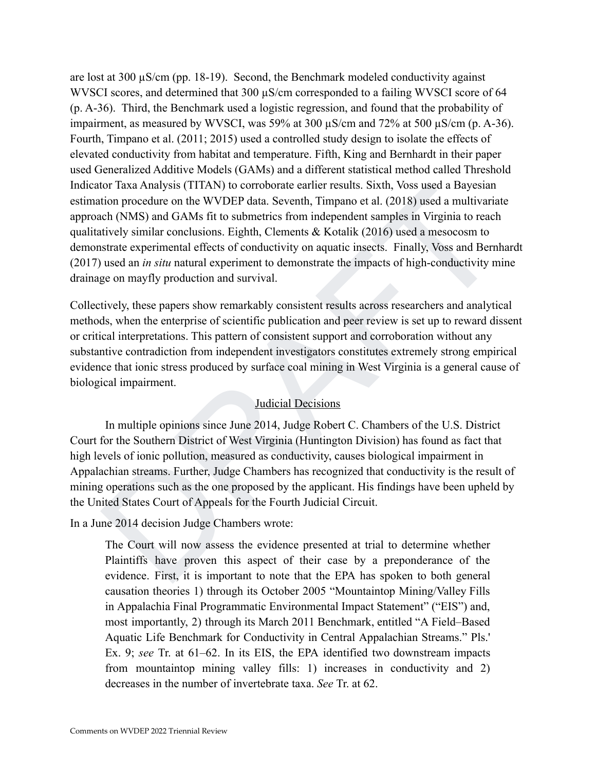for Taxa Analysis (ITTAN) to corrobotate carlier results. Sixth, Voise used a Bayesian<br>tion procedure on the WVDEP data. Seventh, Timpano et al. (2018) used a multivariate<br>the (NMS) and GAMs fit to submetries from independ are lost at  $300 \mu S/cm$  (pp. 18-19). Second, the Benchmark modeled conductivity against WVSCI scores, and determined that 300  $\mu$ S/cm corresponded to a failing WVSCI score of 64 (p. A-36). Third, the Benchmark used a logistic regression, and found that the probability of impairment, as measured by WVSCI, was 59% at 300 µS/cm and 72% at 500 µS/cm (p. A-36). Fourth, Timpano et al. (2011; 2015) used a controlled study design to isolate the effects of elevated conductivity from habitat and temperature. Fifth, King and Bernhardt in their paper used Generalized Additive Models (GAMs) and a different statistical method called Threshold Indicator Taxa Analysis (TITAN) to corroborate earlier results. Sixth, Voss used a Bayesian estimation procedure on the WVDEP data. Seventh, Timpano et al. (2018) used a multivariate approach (NMS) and GAMs fit to submetrics from independent samples in Virginia to reach qualitatively similar conclusions. Eighth, Clements & Kotalik (2016) used a mesocosm to demonstrate experimental effects of conductivity on aquatic insects. Finally, Voss and Bernhardt (2017) used an *in situ* natural experiment to demonstrate the impacts of high-conductivity mine drainage on mayfly production and survival.

Collectively, these papers show remarkably consistent results across researchers and analytical methods, when the enterprise of scientific publication and peer review is set up to reward dissent or critical interpretations. This pattern of consistent support and corroboration without any substantive contradiction from independent investigators constitutes extremely strong empirical evidence that ionic stress produced by surface coal mining in West Virginia is a general cause of biological impairment.

#### Judicial Decisions

In multiple opinions since June 2014, Judge Robert C. Chambers of the U.S. District Court for the Southern District of West Virginia (Huntington Division) has found as fact that high levels of ionic pollution, measured as conductivity, causes biological impairment in Appalachian streams. Further, Judge Chambers has recognized that conductivity is the result of mining operations such as the one proposed by the applicant. His findings have been upheld by the United States Court of Appeals for the Fourth Judicial Circuit.

In a June 2014 decision Judge Chambers wrote:

The Court will now assess the evidence presented at trial to determine whether Plaintiffs have proven this aspect of their case by a preponderance of the evidence. First, it is important to note that the EPA has spoken to both general causation theories 1) through its October 2005 "Mountaintop Mining/Valley Fills in Appalachia Final Programmatic Environmental Impact Statement" ("EIS") and, most importantly, 2) through its March 2011 Benchmark, entitled "A Field–Based Aquatic Life Benchmark for Conductivity in Central Appalachian Streams." Pls.' Ex. 9; *see* Tr. at 61–62. In its EIS, the EPA identified two downstream impacts from mountaintop mining valley fills: 1) increases in conductivity and 2) decreases in the number of invertebrate taxa. *See* Tr. at 62.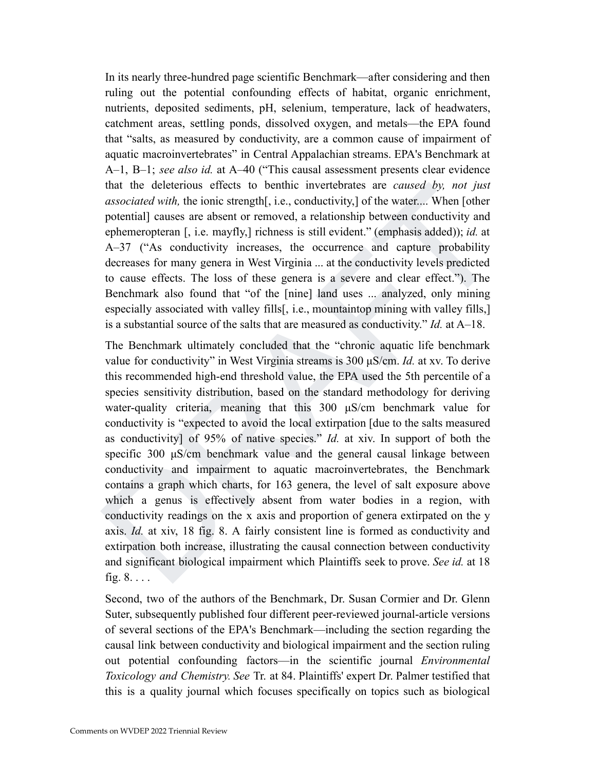In its nearly three-hundred page scientific Benchmark—after considering and then ruling out the potential confounding effects of habitat, organic enrichment, nutrients, deposited sediments, pH, selenium, temperature, lack of headwaters, catchment areas, settling ponds, dissolved oxygen, and metals—the EPA found that "salts, as measured by conductivity, are a common cause of impairment of aquatic macroinvertebrates" in Central Appalachian streams. EPA's Benchmark at A–1, B–1; *see also id.* at A–40 ("This causal assessment presents clear evidence that the deleterious effects to benthic invertebrates are *caused by, not just associated with,* the ionic strength[, i.e., conductivity,] of the water.... When [other potential] causes are absent or removed, a relationship between conductivity and ephemeropteran [, i.e. mayfly,] richness is still evident." (emphasis added)); *id.* at A–37 ("As conductivity increases, the occurrence and capture probability decreases for many genera in West Virginia ... at the conductivity levels predicted to cause effects. The loss of these genera is a severe and clear effect."). The Benchmark also found that "of the [nine] land uses ... analyzed, only mining especially associated with valley fills[, i.e., mountaintop mining with valley fills,] is a substantial source of the salts that are measured as conductivity." *Id.* at A–18.

that the decletrons effects to benthe invertibrates are *caused by, not just*<br>that the decletrons content productivity, of the water,... When  $\mu$ <br>productivity and ephemeropteran  $|$ , i.e., mayfly, I relemes is still ev The Benchmark ultimately concluded that the "chronic aquatic life benchmark value for conductivity" in West Virginia streams is 300 μS/cm. *Id.* at xv. To derive this recommended high-end threshold value, the EPA used the 5th percentile of a species sensitivity distribution, based on the standard methodology for deriving water-quality criteria, meaning that this 300 μS/cm benchmark value for conductivity is "expected to avoid the local extirpation [due to the salts measured as conductivity] of 95% of native species." *Id.* at xiv. In support of both the specific 300  $\mu$ S/cm benchmark value and the general causal linkage between conductivity and impairment to aquatic macroinvertebrates, the Benchmark contains a graph which charts, for 163 genera, the level of salt exposure above which a genus is effectively absent from water bodies in a region, with conductivity readings on the x axis and proportion of genera extirpated on the y axis. *Id.* at xiv, 18 fig. 8. A fairly consistent line is formed as conductivity and extirpation both increase, illustrating the causal connection between conductivity and significant biological impairment which Plaintiffs seek to prove. *See id.* at 18 fig. 8. . . .

Second, two of the authors of the Benchmark, Dr. Susan Cormier and Dr. Glenn Suter, subsequently published four different peer-reviewed journal-article versions of several sections of the EPA's Benchmark—including the section regarding the causal link between conductivity and biological impairment and the section ruling out potential confounding factors—in the scientific journal *Environmental Toxicology and Chemistry. See* Tr. at 84. Plaintiffs' expert Dr. Palmer testified that this is a quality journal which focuses specifically on topics such as biological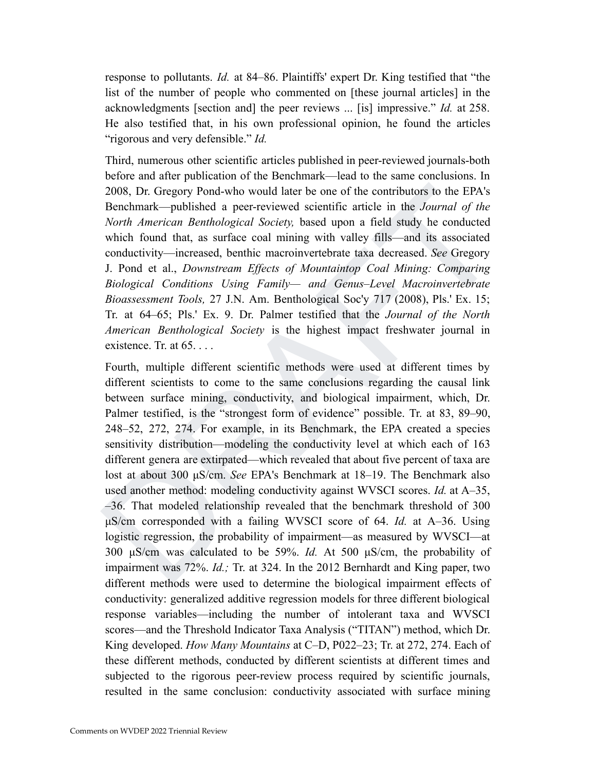response to pollutants. *Id.* at 84–86. Plaintiffs' expert Dr. King testified that "the list of the number of people who commented on [these journal articles] in the acknowledgments [section and] the peer reviews ... [is] impressive." *Id.* at 258. He also testified that, in his own professional opinion, he found the articles "rigorous and very defensible." *Id.*

Third, numerous other scientific articles published in peer-reviewed journals-both before and after publication of the Benchmark—lead to the same conclusions. In 2008, Dr. Gregory Pond-who would later be one of the contributors to the EPA's Benchmark—published a peer-reviewed scientific article in the *Journal of the North American Benthological Society,* based upon a field study he conducted which found that, as surface coal mining with valley fills—and its associated conductivity—increased, benthic macroinvertebrate taxa decreased. *See* Gregory J. Pond et al., *Downstream Effects of Mountaintop Coal Mining: Comparing Biological Conditions Using Family— and Genus–Level Macroinvertebrate Bioassessment Tools,* 27 J.N. Am. Benthological Soc'y 717 (2008), Pls.' Ex. 15; Tr. at 64–65; Pls.' Ex. 9. Dr. Palmer testified that the *Journal of the North American Benthological Society* is the highest impact freshwater journal in existence. Tr. at  $65. \ldots$ 

2008, Dr. Gregory Pond-who would later be one of the contributors to the EPA's<br>
Renchmark—published a pear-reviveved scientific arities in the Journal of the<br>
North American Benthological Society, based upon a field study Fourth, multiple different scientific methods were used at different times by different scientists to come to the same conclusions regarding the causal link between surface mining, conductivity, and biological impairment, which, Dr. Palmer testified, is the "strongest form of evidence" possible. Tr. at 83, 89–90, 248–52, 272, 274. For example, in its Benchmark, the EPA created a species sensitivity distribution—modeling the conductivity level at which each of 163 different genera are extirpated—which revealed that about five percent of taxa are lost at about 300 μS/cm. *See* EPA's Benchmark at 18–19. The Benchmark also used another method: modeling conductivity against WVSCI scores. *Id.* at A–35, –36. That modeled relationship revealed that the benchmark threshold of 300 μS/cm corresponded with a failing WVSCI score of 64. *Id.* at A–36. Using logistic regression, the probability of impairment—as measured by WVSCI—at 300 μS/cm was calculated to be 59%. *Id.* At 500 μS/cm, the probability of impairment was 72%. *Id.;* Tr. at 324. In the 2012 Bernhardt and King paper, two different methods were used to determine the biological impairment effects of conductivity: generalized additive regression models for three different biological response variables—including the number of intolerant taxa and WVSCI scores—and the Threshold Indicator Taxa Analysis ("TITAN") method, which Dr. King developed. *How Many Mountains* at C–D, P022–23; Tr. at 272, 274. Each of these different methods, conducted by different scientists at different times and subjected to the rigorous peer-review process required by scientific journals, resulted in the same conclusion: conductivity associated with surface mining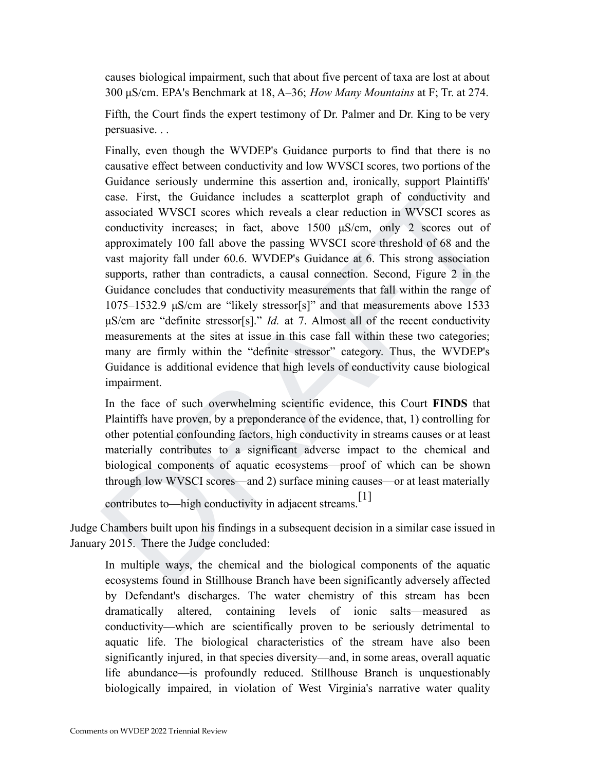causes biological impairment, such that about five percent of taxa are lost at about 300 μS/cm. EPA's Benchmark at 18, A–36; *How Many Mountains* at F; Tr. at 274.

Fifth, the Court finds the expert testimony of Dr. Palmer and Dr. King to be very persuasive. . .

oundance seriously underlimit units absention and, notinearly, support ramminum and associated WVSCI scores which reveals a clear reduction in WVSCI scores as a staterplot graph of condictivity and associated WVSCI scores Finally, even though the WVDEP's Guidance purports to find that there is no causative effect between conductivity and low WVSCI scores, two portions of the Guidance seriously undermine this assertion and, ironically, support Plaintiffs' case. First, the Guidance includes a scatterplot graph of conductivity and associated WVSCI scores which reveals a clear reduction in WVSCI scores as conductivity increases; in fact, above 1500 μS/cm, only 2 scores out of approximately 100 fall above the passing WVSCI score threshold of 68 and the vast majority fall under 60.6. WVDEP's Guidance at 6. This strong association supports, rather than contradicts, a causal connection. Second, Figure 2 in the Guidance concludes that conductivity measurements that fall within the range of 1075–1532.9 μS/cm are "likely stressor[s]" and that measurements above 1533 μS/cm are "definite stressor[s]." *Id.* at 7. Almost all of the recent conductivity measurements at the sites at issue in this case fall within these two categories; many are firmly within the "definite stressor" category. Thus, the WVDEP's Guidance is additional evidence that high levels of conductivity cause biological impairment.

In the face of such overwhelming scientific evidence, this Court **FINDS** that Plaintiffs have proven, by a preponderance of the evidence, that, 1) controlling for other potential confounding factors, high conductivity in streams causes or at least materially contributes to a significant adverse impact to the chemical and biological components of aquatic ecosystems—proof of which can be shown through low WVSCI scores—and 2) surface mining causes—or at least materially

```
contributes to—high conductivity in adjacent streams.<sup>[1]</sup>
```
Judge Chambers built upon his findings in a subsequent decision in a similar case issued in January 2015. There the Judge concluded:

In multiple ways, the chemical and the biological components of the aquatic ecosystems found in Stillhouse Branch have been significantly adversely affected by Defendant's discharges. The water chemistry of this stream has been dramatically altered, containing levels of ionic salts—measured as conductivity—which are scientifically proven to be seriously detrimental to aquatic life. The biological characteristics of the stream have also been significantly injured, in that species diversity—and, in some areas, overall aquatic life abundance—is profoundly reduced. Stillhouse Branch is unquestionably biologically impaired, in violation of West Virginia's narrative water quality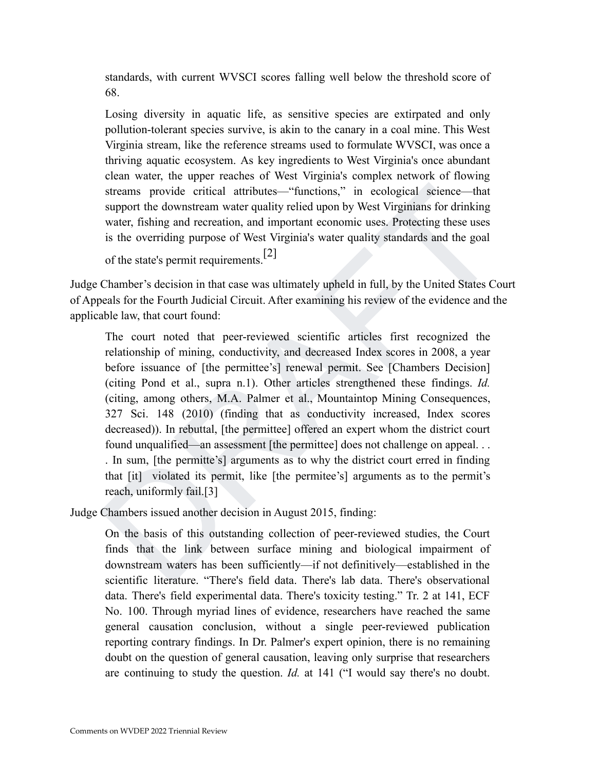standards, with current WVSCI scores falling well below the threshold score of 68.

Losing diversity in aquatic life, as sensitive species are extirpated and only pollution-tolerant species survive, is akin to the canary in a coal mine. This West Virginia stream, like the reference streams used to formulate WVSCI, was once a thriving aquatic ecosystem. As key ingredients to West Virginia's once abundant clean water, the upper reaches of West Virginia's complex network of flowing streams provide critical attributes—"functions," in ecological science—that support the downstream water quality relied upon by West Virginians for drinking water, fishing and recreation, and important economic uses. Protecting these uses is the overriding purpose of West Virginia's water quality standards and the goal

```
of the state's permit requirements.[2]
```
Judge Chamber's decision in that case was ultimately upheld in full, by the United States Court of Appeals for the Fourth Judicial Circuit. After examining his review of the evidence and the applicable law, that court found:

streams provide critical attributes—"functions," in coological science—that<br>surport the downstream water quality relied upon by West Virginians for drinking<br>water, fishing and recreation, and important coononic uses. Prot The court noted that peer-reviewed scientific articles first recognized the relationship of mining, conductivity, and decreased Index scores in 2008, a year before issuance of [the permittee's] renewal permit. See [Chambers Decision] (citing Pond et al., supra n.1). Other articles strengthened these findings. *Id.* (citing, among others, M.A. Palmer et al., Mountaintop Mining Consequences, 327 Sci. 148 (2010) (finding that as conductivity increased, Index scores decreased)). In rebuttal, [the permittee] offered an expert whom the district court found unqualified—an assessment [the permittee] does not challenge on appeal. . . . In sum, [the permitte's] arguments as to why the district court erred in finding that [it] violated its permit, like [the permitee's] arguments as to the permit's reach, uniformly fail.[3]

Judge Chambers issued another decision in August 2015, finding:

On the basis of this outstanding collection of peer-reviewed studies, the Court finds that the link between surface mining and biological impairment of downstream waters has been sufficiently—if not definitively—established in the scientific literature. "There's field data. There's lab data. There's observational data. There's field experimental data. There's toxicity testing." Tr. 2 at 141, ECF No. 100. Through myriad lines of evidence, researchers have reached the same general causation conclusion, without a single peer-reviewed publication reporting contrary findings. In Dr. Palmer's expert opinion, there is no remaining doubt on the question of general causation, leaving only surprise that researchers are continuing to study the question. *Id.* at 141 ("I would say there's no doubt.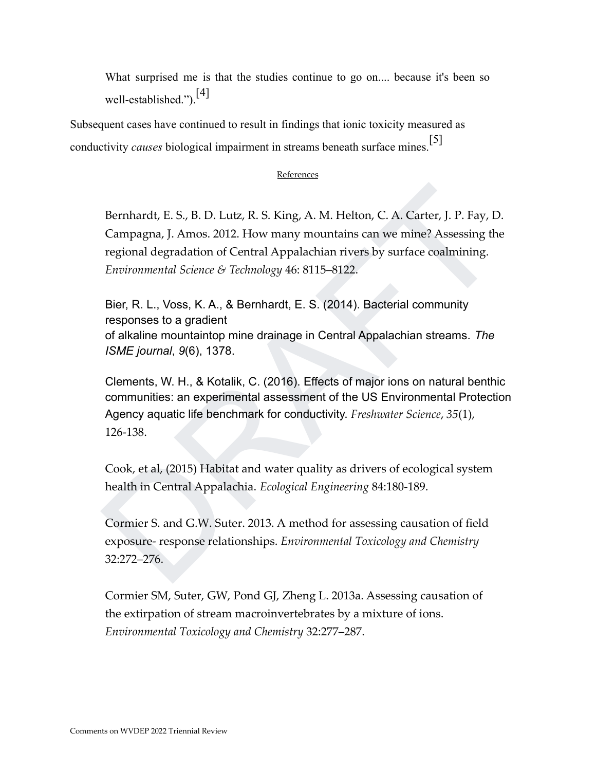What surprised me is that the studies continue to go on.... because it's been so well-established.").<sup>[4]</sup>

Subsequent cases have continued to result in findings that ionic toxicity measured as conductivity *causes* biological impairment in streams beneath surface mines.<sup>[5]</sup>

#### References

Bernhardt, E. S., B. D. Lutz, R. S. King, A. M. Helton, C. A. Carter, J. P. Fay, D.<br>Campagna, J. Amos. 2012. How many mountains can we mine? Assessing the<br>regional degradation of Central Appalachian rivers by surface coalm Bernhardt, E. S., B. D. Lutz, R. S. King, A. M. Helton, C. A. Carter, J. P. Fay, D. Campagna, J. Amos. 2012. How many mountains can we mine? Assessing the regional degradation of Central Appalachian rivers by surface coalmining. *Environmental Science & Technology* 46: 8115–8122.

Bier, R. L., Voss, K. A., & Bernhardt, E. S. (2014). Bacterial community responses to a gradient of alkaline mountaintop mine drainage in Central Appalachian streams. *The ISME journal*, *9*(6), 1378.

Clements, W. H., & Kotalik, C. (2016). Effects of major ions on natural benthic communities: an experimental assessment of the US Environmental Protection Agency aquatic life benchmark for conductivity. *Freshwater Science*, *35*(1), 126-138.

Cook, et al, (2015) Habitat and water quality as drivers of ecological system health in Central Appalachia. *Ecological Engineering* 84:180-189.

Cormier S. and G.W. Suter. 2013. A method for assessing causation of field exposure- response relationships. *Environmental Toxicology and Chemistry* 32:272–276.

Cormier SM, Suter, GW, Pond GJ, Zheng L. 2013a. Assessing causation of the extirpation of stream macroinvertebrates by a mixture of ions. *Environmental Toxicology and Chemistry* 32:277–287.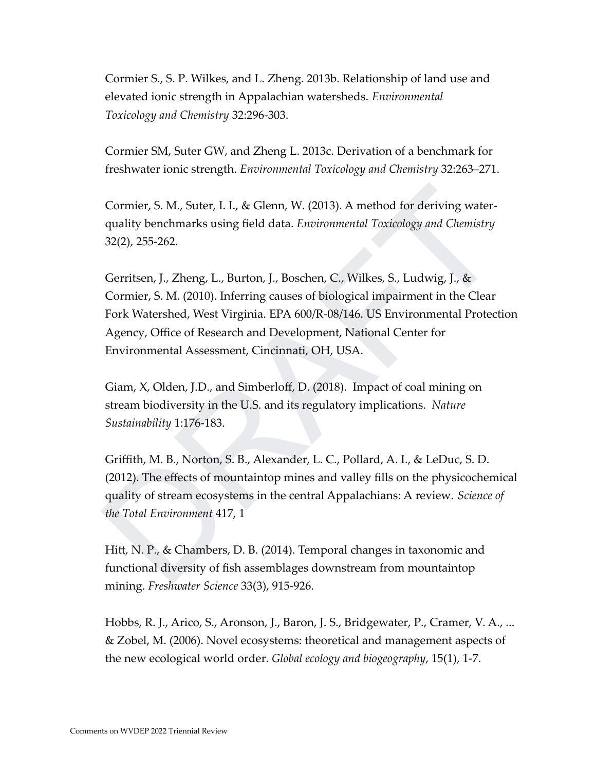Cormier S., S. P. Wilkes, and L. Zheng. 2013b. Relationship of land use and elevated ionic strength in Appalachian watersheds. *Environmental Toxicology and Chemistry* 32:296-303.

Cormier SM, Suter GW, and Zheng L. 2013c. Derivation of a benchmark for freshwater ionic strength. *Environmental Toxicology and Chemistry* 32:263–271.

Cormier, S. M., Suter, I. I., & Glenn, W. (2013). A method for deriving water‐ quality benchmarks using field data. *Environmental Toxicology and Chemistry* 32(2), 255-262.

Cormier, S. M., Suter, I. I., & Glenn, W. (2013). A method for deriving water-<br>quality benchmarks using field data. *Environmental Toxicology and Chemistry*<br>32(2), 255-262.<br>Cerritsen, J., Zheng, L., Burton, J., Boschen, C. Gerritsen, J., Zheng, L., Burton, J., Boschen, C., Wilkes, S., Ludwig, J., & Cormier, S. M. (2010). Inferring causes of biological impairment in the Clear Fork Watershed, West Virginia. EPA 600/R-08/146. US Environmental Protection Agency, Office of Research and Development, National Center for Environmental Assessment, Cincinnati, OH, USA.

Giam, X, Olden, J.D., and Simberloff, D. (2018). Impact of coal mining on stream biodiversity in the U.S. and its regulatory implications. *Nature Sustainability* 1:176-183.

Griffith, M. B., Norton, S. B., Alexander, L. C., Pollard, A. I., & LeDuc, S. D. (2012). The effects of mountaintop mines and valley fills on the physicochemical quality of stream ecosystems in the central Appalachians: A review. *Science of the Total Environment* 417, 1

Hitt, N. P., & Chambers, D. B. (2014). Temporal changes in taxonomic and functional diversity of fish assemblages downstream from mountaintop mining. *Freshwater Science* 33(3), 915-926.

Hobbs, R. J., Arico, S., Aronson, J., Baron, J. S., Bridgewater, P., Cramer, V. A., ... & Zobel, M. (2006). Novel ecosystems: theoretical and management aspects of the new ecological world order. *Global ecology and biogeography*, 15(1), 1-7.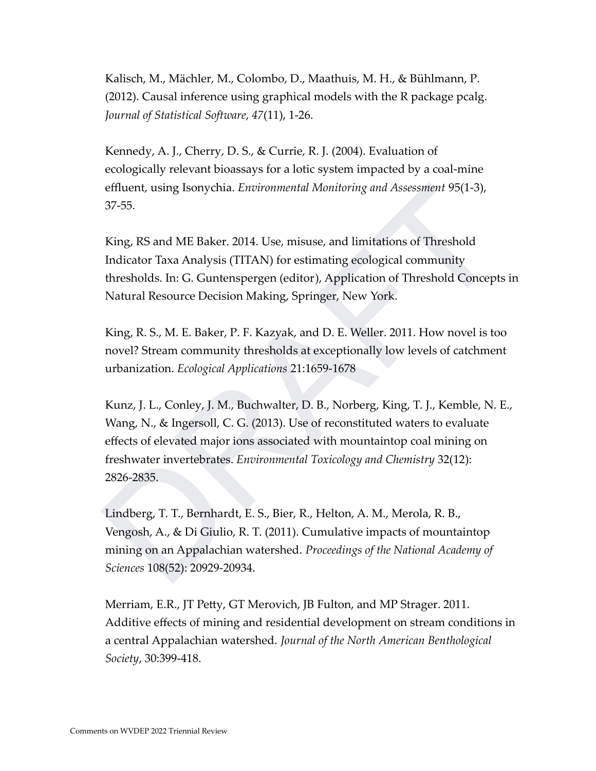Kalisch, M., Mächler, M., Colombo, D., Maathuis, M. H., & Bühlmann, P. (2012). Causal inference using graphical models with the R package pcalg. *Journal of Statistical Software*, *47*(11), 1-26.

Kennedy, A. J., Cherry, D. S., & Currie, R. J. (2004). Evaluation of ecologically relevant bioassays for a lotic system impacted by a coal-mine effluent, using Isonychia. *Environmental Monitoring and Assessment* 95(1-3), 37-55.

King, RS and ME Baker. 2014. Use, misuse, and limitations of Threshold Indicator Taxa Analysis (TITAN) for estimating ecological community thresholds. In: G. Guntenspergen (editor), Application of Threshold Concepts in Natural Resource Decision Making, Springer, New York.

King, R. S., M. E. Baker, P. F. Kazyak, and D. E. Weller. 2011. How novel is too novel? Stream community thresholds at exceptionally low levels of catchment urbanization. *Ecological Applications* 21:1659-1678

effluent, using Isonychia. *Environmental Monitoring and Assessment* 95(1-3),<br>37-55.<br>King, RS and ME Baker. 2014. Use, missue, and limitations of Threshold<br>Indicator Taxa Analysis (TITAN) for estimating ecological communit Kunz, J. L., Conley, J. M., Buchwalter, D. B., Norberg, King, T. J., Kemble, N. E., Wang, N., & Ingersoll, C. G. (2013). Use of reconstituted waters to evaluate effects of elevated major ions associated with mountaintop coal mining on freshwater invertebrates. *Environmental Toxicology and Chemistry* 32(12): 2826-2835.

Lindberg, T. T., Bernhardt, E. S., Bier, R., Helton, A. M., Merola, R. B., Vengosh, A., & Di Giulio, R. T. (2011). Cumulative impacts of mountaintop mining on an Appalachian watershed. *Proceedings of the National Academy of Sciences* 108(52): 20929-20934.

Merriam, E.R., JT Petty, GT Merovich, JB Fulton, and MP Strager. 2011. Additive effects of mining and residential development on stream conditions in a central Appalachian watershed. *Journal of the North American Benthological Society*, 30:399-418.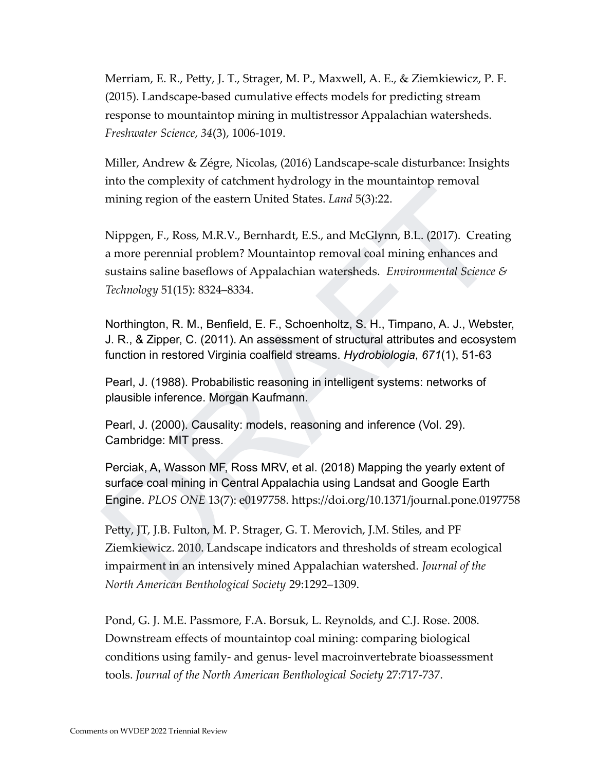Merriam, E. R., Petty, J. T., Strager, M. P., Maxwell, A. E., & Ziemkiewicz, P. F. (2015). Landscape-based cumulative effects models for predicting stream response to mountaintop mining in multistressor Appalachian watersheds. *Freshwater Science*, *34*(3), 1006-1019.

Miller, Andrew & Zégre, Nicolas, (2016) Landscape-scale disturbance: Insights into the complexity of catchment hydrology in the mountaintop removal mining region of the eastern United States. *Land* 5(3):22.

and the complexity of calculated tyditology in the findmanning Pernoval<br>mining region of the eastern United States. *Land* 5(3):22.<br>Nippgen, F., Ross, M.R.V., Bernhardt, E.S., and McGlynn, B.L. (2017). Creating<br>a more per Nippgen, F., Ross, M.R.V., Bernhardt, E.S., and McGlynn, B.L. (2017). Creating a more perennial problem? Mountaintop removal coal mining enhances and sustains saline baseflows of Appalachian watersheds. *Environmental Science & Technology* 51(15): 8324–8334.

Northington, R. M., Benfield, E. F., Schoenholtz, S. H., Timpano, A. J., Webster, J. R., & Zipper, C. (2011). An assessment of structural attributes and ecosystem function in restored Virginia coalfield streams. *Hydrobiologia*, *671*(1), 51-63

Pearl, J. (1988). Probabilistic reasoning in intelligent systems: networks of plausible inference. Morgan Kaufmann.

Pearl, J. (2000). Causality: models, reasoning and inference (Vol. 29). Cambridge: MIT press.

Perciak, A, Wasson MF, Ross MRV, et al. (2018) Mapping the yearly extent of surface coal mining in Central Appalachia using Landsat and Google Earth Engine. *PLOS ONE* 13(7): e0197758. https://doi.org/10.1371/journal.pone.0197758

Petty, JT, J.B. Fulton, M. P. Strager, G. T. Merovich, J.M. Stiles, and PF Ziemkiewicz. 2010. Landscape indicators and thresholds of stream ecological impairment in an intensively mined Appalachian watershed. *Journal of the North American Benthological Society* 29:1292–1309.

Pond, G. J. M.E. Passmore, F.A. Borsuk, L. Reynolds, and C.J. Rose. 2008. Downstream effects of mountaintop coal mining: comparing biological conditions using family- and genus- level macroinvertebrate bioassessment tools. *Journal of the North American Benthological Society* 27:717-737.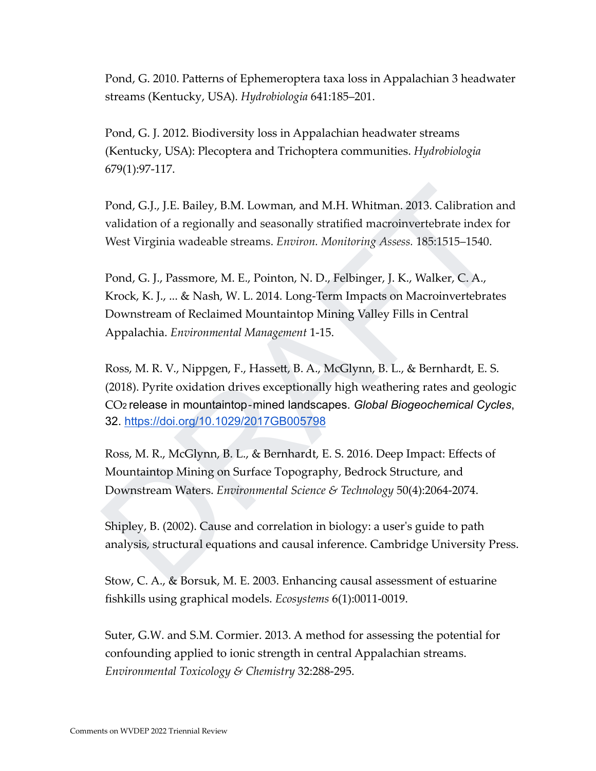Pond, G. 2010. Patterns of Ephemeroptera taxa loss in Appalachian 3 headwater streams (Kentucky, USA). *Hydrobiologia* 641:185–201.

Pond, G. J. 2012. Biodiversity loss in Appalachian headwater streams (Kentucky, USA): Plecoptera and Trichoptera communities. *Hydrobiologia* 679(1):97-117.

Pond, G.J., J.E. Bailey, B.M. Lowman, and M.H. Whitman. 2013. Calibration and validation of a regionally and seasonally stratified macroinvertebrate index for West Virginia wadeable streams. *Environ. Monitoring Assess.* 185:1515–1540.

Pond, G.J., J.E. Bailey, B.M. Lowman, and M.H. Whitman. 2013. Calibration and<br>validation of a regionally and seasonally stratified macroinvertebrate index for<br>West Virginia wadeable streams. *Environ. Monitoring Assess.* 1 Pond, G. J., Passmore, M. E., Pointon, N. D., Felbinger, J. K., Walker, C. A., Krock, K. J., ... & Nash, W. L. 2014. Long-Term Impacts on Macroinvertebrates Downstream of Reclaimed Mountaintop Mining Valley Fills in Central Appalachia. *Environmental Management* 1-15.

Ross, M. R. V., Nippgen, F., Hassett, B. A., McGlynn, B. L., & Bernhardt, E. S. (2018). Pyrite oxidation drives exceptionally high weathering rates and geologic CO<sup>2</sup> release in mountaintop‐mined landscapes. *Global Biogeochemical Cycles*, 32. https://doi.org/10.1029/2017GB005798

Ross, M. R., McGlynn, B. L., & Bernhardt, E. S. 2016. Deep Impact: Effects of Mountaintop Mining on Surface Topography, Bedrock Structure, and Downstream Waters. *Environmental Science & Technology* 50(4):2064-2074.

Shipley, B. (2002). Cause and correlation in biology: a user's guide to path analysis, structural equations and causal inference. Cambridge University Press.

Stow, C. A., & Borsuk, M. E. 2003. Enhancing causal assessment of estuarine fishkills using graphical models. *Ecosystems* 6(1):0011-0019.

Suter, G.W. and S.M. Cormier. 2013. A method for assessing the potential for confounding applied to ionic strength in central Appalachian streams. *Environmental Toxicology & Chemistry* 32:288‐295.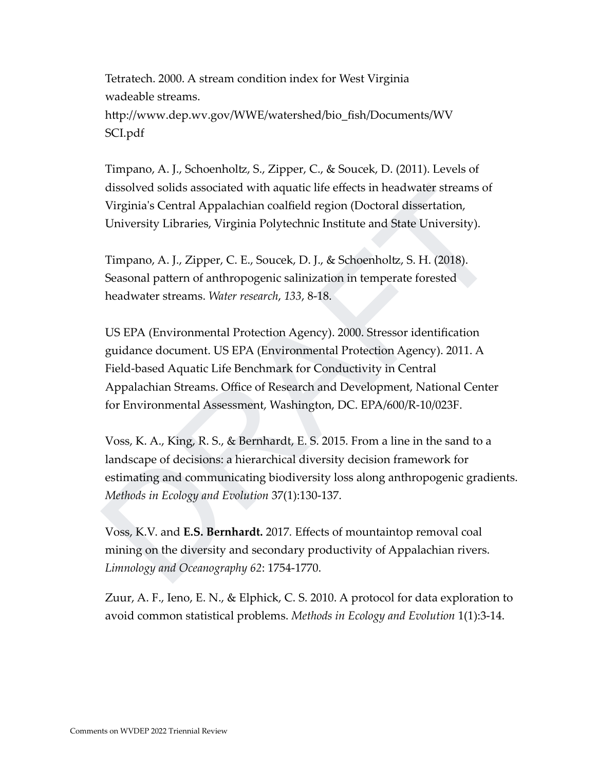Tetratech. 2000. A stream condition index for West Virginia wadeable streams. http://www.dep.wv.gov/WWE/watershed/bio\_fish/Documents/WV SCI.pdf

Timpano, A. J., Schoenholtz, S., Zipper, C., & Soucek, D. (2011). Levels of dissolved solids associated with aquatic life effects in headwater streams of Virginia's Central Appalachian coalfield region (Doctoral dissertation, University Libraries, Virginia Polytechnic Institute and State University).

Timpano, A. J., Zipper, C. E., Soucek, D. J., & Schoenholtz, S. H. (2018). Seasonal pattern of anthropogenic salinization in temperate forested headwater streams. *Water research*, *133*, 8-18.

dissolved solids associated with a<br>quatic life effects in headwater streams of Virginia's Central Appalachian coalfield region (Doctoral dissertation, University Libraries, Virginia Polytechnic Institute and State Univers US EPA (Environmental Protection Agency). 2000. Stressor identification guidance document. US EPA (Environmental Protection Agency). 2011. A Field-based Aquatic Life Benchmark for Conductivity in Central Appalachian Streams. Office of Research and Development, National Center for Environmental Assessment, Washington, DC. EPA/600/R-10/023F.

Voss, K. A., King, R. S., & Bernhardt, E. S. 2015. From a line in the sand to a landscape of decisions: a hierarchical diversity decision framework for estimating and communicating biodiversity loss along anthropogenic gradients. *Methods in Ecology and Evolution* 37(1):130-137.

Voss, K.V. and **E.S. Bernhardt.** 2017*.* Effects of mountaintop removal coal mining on the diversity and secondary productivity of Appalachian rivers. *Limnology and Oceanography 62*: 1754-1770.

Zuur, A. F., Ieno, E. N., & Elphick, C. S. 2010. A protocol for data exploration to avoid common statistical problems. *Methods in Ecology and Evolution* 1(1):3-14.